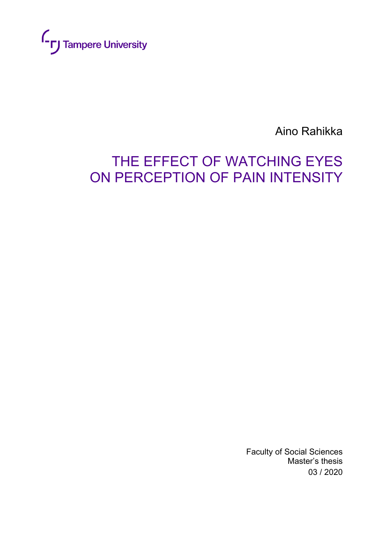

Aino Rahikka

# THE EFFECT OF WATCHING EYES ON PERCEPTION OF PAIN INTENSITY

Faculty of Social Sciences Master's thesis 03 / 2020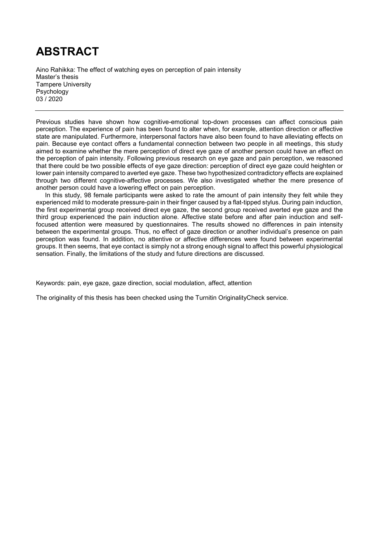# **ABSTRACT**

Aino Rahikka: The effect of watching eyes on perception of pain intensity Master's thesis Tampere University Psychology 03 / 2020

Previous studies have shown how cognitive-emotional top-down processes can affect conscious pain perception. The experience of pain has been found to alter when, for example, attention direction or affective state are manipulated. Furthermore, interpersonal factors have also been found to have alleviating effects on pain. Because eye contact offers a fundamental connection between two people in all meetings, this study aimed to examine whether the mere perception of direct eye gaze of another person could have an effect on the perception of pain intensity. Following previous research on eye gaze and pain perception, we reasoned that there could be two possible effects of eye gaze direction: perception of direct eye gaze could heighten or lower pain intensity compared to averted eye gaze. These two hypothesized contradictory effects are explained through two different cognitive-affective processes. We also investigated whether the mere presence of another person could have a lowering effect on pain perception.

In this study, 98 female participants were asked to rate the amount of pain intensity they felt while they experienced mild to moderate pressure-pain in their finger caused by a flat-tipped stylus. During pain induction, the first experimental group received direct eye gaze, the second group received averted eye gaze and the third group experienced the pain induction alone. Affective state before and after pain induction and selffocused attention were measured by questionnaires. The results showed no differences in pain intensity between the experimental groups. Thus, no effect of gaze direction or another individual's presence on pain perception was found. In addition, no attentive or affective differences were found between experimental groups. It then seems, that eye contact is simply not a strong enough signal to affect this powerful physiological sensation. Finally, the limitations of the study and future directions are discussed.

Keywords: pain, eye gaze, gaze direction, social modulation, affect, attention

The originality of this thesis has been checked using the Turnitin OriginalityCheck service.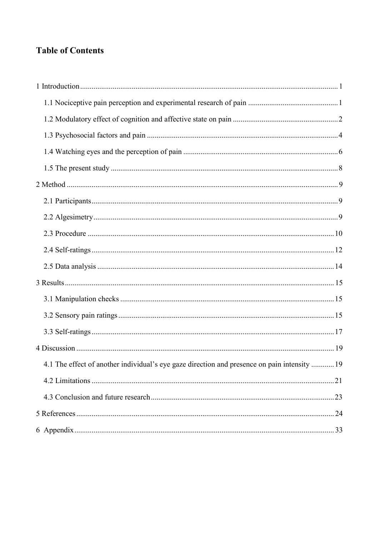# **Table of Contents**

| 4.1 The effect of another individual's eye gaze direction and presence on pain intensity  19 |
|----------------------------------------------------------------------------------------------|
|                                                                                              |
|                                                                                              |
|                                                                                              |
|                                                                                              |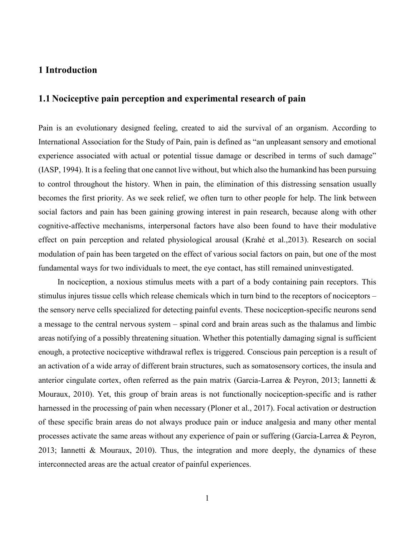#### **1 Introduction**

# **1.1 Nociceptive pain perception and experimental research of pain**

Pain is an evolutionary designed feeling, created to aid the survival of an organism. According to International Association for the Study of Pain, pain is defined as "an unpleasant sensory and emotional experience associated with actual or potential tissue damage or described in terms of such damage" (IASP, 1994). It is a feeling that one cannot live without, but which also the humankind has been pursuing to control throughout the history. When in pain, the elimination of this distressing sensation usually becomes the first priority. As we seek relief, we often turn to other people for help. The link between social factors and pain has been gaining growing interest in pain research, because along with other cognitive-affective mechanisms, interpersonal factors have also been found to have their modulative effect on pain perception and related physiological arousal (Krahé et al.,2013). Research on social modulation of pain has been targeted on the effect of various social factors on pain, but one of the most fundamental ways for two individuals to meet, the eye contact, has still remained uninvestigated.

In nociception, a noxious stimulus meets with a part of a body containing pain receptors. This stimulus injures tissue cells which release chemicals which in turn bind to the receptors of nociceptors – the sensory nerve cells specialized for detecting painful events. These nociception-specific neurons send a message to the central nervous system – spinal cord and brain areas such as the thalamus and limbic areas notifying of a possibly threatening situation. Whether this potentially damaging signal is sufficient enough, a protective nociceptive withdrawal reflex is triggered. Conscious pain perception is a result of an activation of a wide array of different brain structures, such as somatosensory cortices, the insula and anterior cingulate cortex, often referred as the pain matrix (Garcia-Larrea & Peyron, 2013; Iannetti & Mouraux, 2010). Yet, this group of brain areas is not functionally nociception-specific and is rather harnessed in the processing of pain when necessary (Ploner et al., 2017). Focal activation or destruction of these specific brain areas do not always produce pain or induce analgesia and many other mental processes activate the same areas without any experience of pain or suffering (Garcia-Larrea & Peyron, 2013; Iannetti & Mouraux, 2010). Thus, the integration and more deeply, the dynamics of these interconnected areas are the actual creator of painful experiences.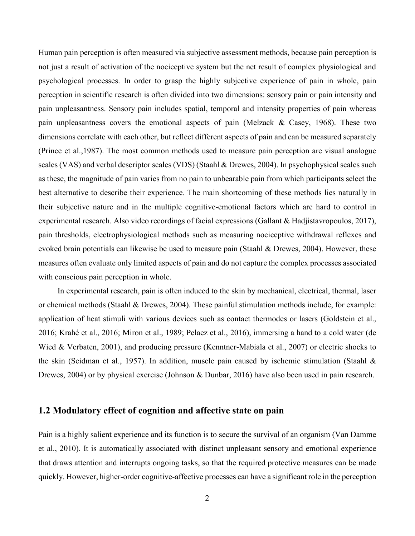Human pain perception is often measured via subjective assessment methods, because pain perception is not just a result of activation of the nociceptive system but the net result of complex physiological and psychological processes. In order to grasp the highly subjective experience of pain in whole, pain perception in scientific research is often divided into two dimensions: sensory pain or pain intensity and pain unpleasantness. Sensory pain includes spatial, temporal and intensity properties of pain whereas pain unpleasantness covers the emotional aspects of pain (Melzack & Casey, 1968). These two dimensions correlate with each other, but reflect different aspects of pain and can be measured separately (Prince et al.,1987). The most common methods used to measure pain perception are visual analogue scales (VAS) and verbal descriptor scales (VDS) (Staahl & Drewes, 2004). In psychophysical scales such as these, the magnitude of pain varies from no pain to unbearable pain from which participants select the best alternative to describe their experience. The main shortcoming of these methods lies naturally in their subjective nature and in the multiple cognitive-emotional factors which are hard to control in experimental research. Also video recordings of facial expressions (Gallant & Hadjistavropoulos, 2017), pain thresholds, electrophysiological methods such as measuring nociceptive withdrawal reflexes and evoked brain potentials can likewise be used to measure pain (Staahl & Drewes, 2004). However, these measures often evaluate only limited aspects of pain and do not capture the complex processes associated with conscious pain perception in whole.

In experimental research, pain is often induced to the skin by mechanical, electrical, thermal, laser or chemical methods (Staahl & Drewes, 2004). These painful stimulation methods include, for example: application of heat stimuli with various devices such as contact thermodes or lasers (Goldstein et al., 2016; Krahé et al., 2016; Miron et al., 1989; Pelaez et al., 2016), immersing a hand to a cold water (de Wied & Verbaten, 2001), and producing pressure (Kenntner-Mabiala et al., 2007) or electric shocks to the skin (Seidman et al., 1957). In addition, muscle pain caused by ischemic stimulation (Staahl & Drewes, 2004) or by physical exercise (Johnson & Dunbar, 2016) have also been used in pain research.

## **1.2 Modulatory effect of cognition and affective state on pain**

Pain is a highly salient experience and its function is to secure the survival of an organism (Van Damme et al., 2010). It is automatically associated with distinct unpleasant sensory and emotional experience that draws attention and interrupts ongoing tasks, so that the required protective measures can be made quickly. However, higher-order cognitive-affective processes can have a significant role in the perception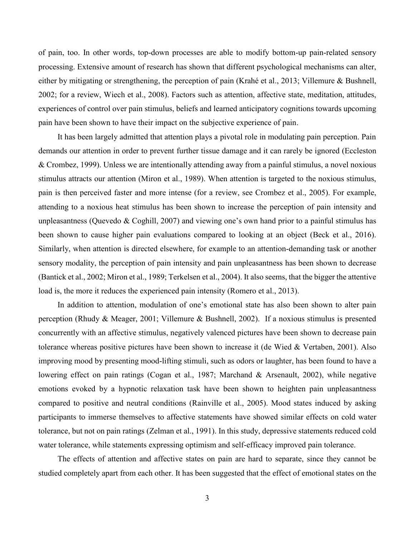of pain, too. In other words, top-down processes are able to modify bottom-up pain-related sensory processing. Extensive amount of research has shown that different psychological mechanisms can alter, either by mitigating or strengthening, the perception of pain (Krahé et al., 2013; Villemure & Bushnell, 2002; for a review, Wiech et al., 2008). Factors such as attention, affective state, meditation, attitudes, experiences of control over pain stimulus, beliefs and learned anticipatory cognitions towards upcoming pain have been shown to have their impact on the subjective experience of pain.

It has been largely admitted that attention plays a pivotal role in modulating pain perception. Pain demands our attention in order to prevent further tissue damage and it can rarely be ignored (Eccleston & Crombez, 1999). Unless we are intentionally attending away from a painful stimulus, a novel noxious stimulus attracts our attention (Miron et al., 1989). When attention is targeted to the noxious stimulus, pain is then perceived faster and more intense (for a review, see Crombez et al., 2005). For example, attending to a noxious heat stimulus has been shown to increase the perception of pain intensity and unpleasantness (Quevedo & Coghill, 2007) and viewing one's own hand prior to a painful stimulus has been shown to cause higher pain evaluations compared to looking at an object (Beck et al., 2016). Similarly, when attention is directed elsewhere, for example to an attention-demanding task or another sensory modality, the perception of pain intensity and pain unpleasantness has been shown to decrease (Bantick et al., 2002; Miron et al., 1989; Terkelsen et al., 2004). It also seems, that the bigger the attentive load is, the more it reduces the experienced pain intensity (Romero et al., 2013).

In addition to attention, modulation of one's emotional state has also been shown to alter pain perception (Rhudy & Meager, 2001; Villemure & Bushnell, 2002). If a noxious stimulus is presented concurrently with an affective stimulus, negatively valenced pictures have been shown to decrease pain tolerance whereas positive pictures have been shown to increase it (de Wied & Vertaben, 2001). Also improving mood by presenting mood-lifting stimuli, such as odors or laughter, has been found to have a lowering effect on pain ratings (Cogan et al., 1987; Marchand & Arsenault, 2002), while negative emotions evoked by a hypnotic relaxation task have been shown to heighten pain unpleasantness compared to positive and neutral conditions (Rainville et al., 2005). Mood states induced by asking participants to immerse themselves to affective statements have showed similar effects on cold water tolerance, but not on pain ratings (Zelman et al., 1991). In this study, depressive statements reduced cold water tolerance, while statements expressing optimism and self-efficacy improved pain tolerance.

The effects of attention and affective states on pain are hard to separate, since they cannot be studied completely apart from each other. It has been suggested that the effect of emotional states on the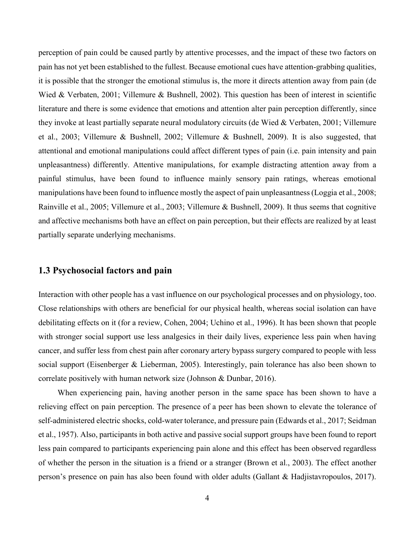perception of pain could be caused partly by attentive processes, and the impact of these two factors on pain has not yet been established to the fullest. Because emotional cues have attention-grabbing qualities, it is possible that the stronger the emotional stimulus is, the more it directs attention away from pain (de Wied & Verbaten, 2001; Villemure & Bushnell, 2002). This question has been of interest in scientific literature and there is some evidence that emotions and attention alter pain perception differently, since they invoke at least partially separate neural modulatory circuits (de Wied & Verbaten, 2001; Villemure et al., 2003; Villemure & Bushnell, 2002; Villemure & Bushnell, 2009). It is also suggested, that attentional and emotional manipulations could affect different types of pain (i.e. pain intensity and pain unpleasantness) differently. Attentive manipulations, for example distracting attention away from a painful stimulus, have been found to influence mainly sensory pain ratings, whereas emotional manipulations have been found to influence mostly the aspect of pain unpleasantness (Loggia et al., 2008; Rainville et al., 2005; Villemure et al., 2003; Villemure & Bushnell, 2009). It thus seems that cognitive and affective mechanisms both have an effect on pain perception, but their effects are realized by at least partially separate underlying mechanisms.

#### **1.3 Psychosocial factors and pain**

Interaction with other people has a vast influence on our psychological processes and on physiology, too. Close relationships with others are beneficial for our physical health, whereas social isolation can have debilitating effects on it (for a review, Cohen, 2004; Uchino et al., 1996). It has been shown that people with stronger social support use less analgesics in their daily lives, experience less pain when having cancer, and suffer less from chest pain after coronary artery bypass surgery compared to people with less social support (Eisenberger & Lieberman, 2005). Interestingly, pain tolerance has also been shown to correlate positively with human network size (Johnson & Dunbar, 2016).

When experiencing pain, having another person in the same space has been shown to have a relieving effect on pain perception. The presence of a peer has been shown to elevate the tolerance of self-administered electric shocks, cold-water tolerance, and pressure pain (Edwards et al., 2017; Seidman et al., 1957). Also, participants in both active and passive social support groups have been found to report less pain compared to participants experiencing pain alone and this effect has been observed regardless of whether the person in the situation is a friend or a stranger (Brown et al., 2003). The effect another person's presence on pain has also been found with older adults (Gallant & Hadjistavropoulos, 2017).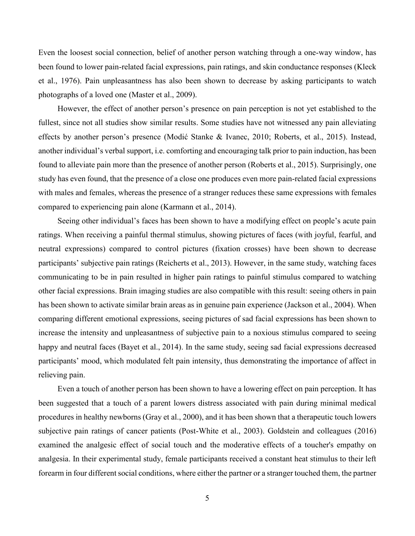Even the loosest social connection, belief of another person watching through a one-way window, has been found to lower pain-related facial expressions, pain ratings, and skin conductance responses (Kleck et al., 1976). Pain unpleasantness has also been shown to decrease by asking participants to watch photographs of a loved one (Master et al., 2009).

However, the effect of another person's presence on pain perception is not yet established to the fullest, since not all studies show similar results. Some studies have not witnessed any pain alleviating effects by another person's presence (Modić Stanke & Ivanec, 2010; Roberts, et al., 2015). Instead, another individual's verbal support, i.e. comforting and encouraging talk prior to pain induction, has been found to alleviate pain more than the presence of another person (Roberts et al., 2015). Surprisingly, one study has even found, that the presence of a close one produces even more pain-related facial expressions with males and females, whereas the presence of a stranger reduces these same expressions with females compared to experiencing pain alone (Karmann et al., 2014).

Seeing other individual's faces has been shown to have a modifying effect on people's acute pain ratings. When receiving a painful thermal stimulus, showing pictures of faces (with joyful, fearful, and neutral expressions) compared to control pictures (fixation crosses) have been shown to decrease participants' subjective pain ratings (Reicherts et al., 2013). However, in the same study, watching faces communicating to be in pain resulted in higher pain ratings to painful stimulus compared to watching other facial expressions. Brain imaging studies are also compatible with this result: seeing others in pain has been shown to activate similar brain areas as in genuine pain experience (Jackson et al., 2004). When comparing different emotional expressions, seeing pictures of sad facial expressions has been shown to increase the intensity and unpleasantness of subjective pain to a noxious stimulus compared to seeing happy and neutral faces (Bayet et al., 2014). In the same study, seeing sad facial expressions decreased participants' mood, which modulated felt pain intensity, thus demonstrating the importance of affect in relieving pain.

Even a touch of another person has been shown to have a lowering effect on pain perception. It has been suggested that a touch of a parent lowers distress associated with pain during minimal medical procedures in healthy newborns (Gray et al., 2000), and it has been shown that a therapeutic touch lowers subjective pain ratings of cancer patients (Post-White et al., 2003). Goldstein and colleagues (2016) examined the analgesic effect of social touch and the moderative effects of a toucher's empathy on analgesia. In their experimental study, female participants received a constant heat stimulus to their left forearm in four different social conditions, where either the partner or a stranger touched them, the partner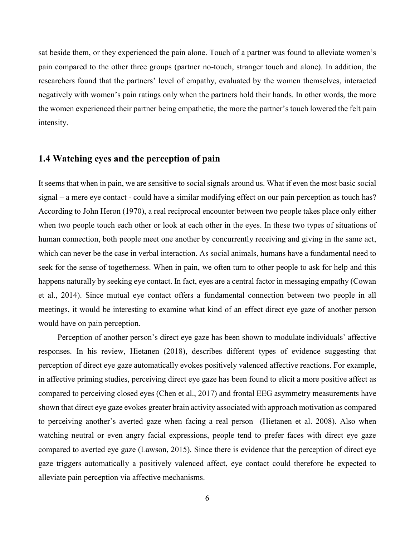sat beside them, or they experienced the pain alone. Touch of a partner was found to alleviate women's pain compared to the other three groups (partner no-touch, stranger touch and alone). In addition, the researchers found that the partners' level of empathy, evaluated by the women themselves, interacted negatively with women's pain ratings only when the partners hold their hands. In other words, the more the women experienced their partner being empathetic, the more the partner's touch lowered the felt pain intensity.

## **1.4 Watching eyes and the perception of pain**

It seems that when in pain, we are sensitive to social signals around us. What if even the most basic social signal – a mere eye contact - could have a similar modifying effect on our pain perception as touch has? According to John Heron (1970), a real reciprocal encounter between two people takes place only either when two people touch each other or look at each other in the eyes. In these two types of situations of human connection, both people meet one another by concurrently receiving and giving in the same act, which can never be the case in verbal interaction. As social animals, humans have a fundamental need to seek for the sense of togetherness. When in pain, we often turn to other people to ask for help and this happens naturally by seeking eye contact. In fact, eyes are a central factor in messaging empathy (Cowan et al., 2014). Since mutual eye contact offers a fundamental connection between two people in all meetings, it would be interesting to examine what kind of an effect direct eye gaze of another person would have on pain perception.

Perception of another person's direct eye gaze has been shown to modulate individuals' affective responses. In his review, Hietanen (2018), describes different types of evidence suggesting that perception of direct eye gaze automatically evokes positively valenced affective reactions. For example, in affective priming studies, perceiving direct eye gaze has been found to elicit a more positive affect as compared to perceiving closed eyes (Chen et al., 2017) and frontal EEG asymmetry measurements have shown that direct eye gaze evokes greater brain activity associated with approach motivation as compared to perceiving another's averted gaze when facing a real person (Hietanen et al. 2008). Also when watching neutral or even angry facial expressions, people tend to prefer faces with direct eye gaze compared to averted eye gaze (Lawson, 2015). Since there is evidence that the perception of direct eye gaze triggers automatically a positively valenced affect, eye contact could therefore be expected to alleviate pain perception via affective mechanisms.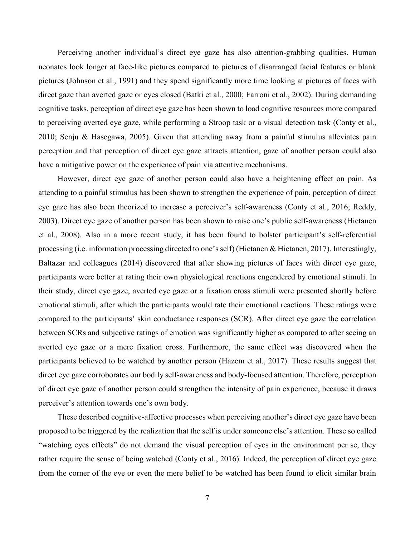Perceiving another individual's direct eye gaze has also attention-grabbing qualities. Human neonates look longer at face-like pictures compared to pictures of disarranged facial features or blank pictures (Johnson et al., 1991) and they spend significantly more time looking at pictures of faces with direct gaze than averted gaze or eyes closed (Batki et al., 2000; Farroni et al., 2002). During demanding cognitive tasks, perception of direct eye gaze has been shown to load cognitive resources more compared to perceiving averted eye gaze, while performing a Stroop task or a visual detection task (Conty et al., 2010; Senju & Hasegawa, 2005). Given that attending away from a painful stimulus alleviates pain perception and that perception of direct eye gaze attracts attention, gaze of another person could also have a mitigative power on the experience of pain via attentive mechanisms.

However, direct eye gaze of another person could also have a heightening effect on pain. As attending to a painful stimulus has been shown to strengthen the experience of pain, perception of direct eye gaze has also been theorized to increase a perceiver's self-awareness (Conty et al., 2016; Reddy, 2003). Direct eye gaze of another person has been shown to raise one's public self-awareness (Hietanen et al., 2008). Also in a more recent study, it has been found to bolster participant's self-referential processing (i.e. information processing directed to one's self) (Hietanen & Hietanen, 2017). Interestingly, Baltazar and colleagues (2014) discovered that after showing pictures of faces with direct eye gaze, participants were better at rating their own physiological reactions engendered by emotional stimuli. In their study, direct eye gaze, averted eye gaze or a fixation cross stimuli were presented shortly before emotional stimuli, after which the participants would rate their emotional reactions. These ratings were compared to the participants' skin conductance responses (SCR). After direct eye gaze the correlation between SCRs and subjective ratings of emotion was significantly higher as compared to after seeing an averted eye gaze or a mere fixation cross. Furthermore, the same effect was discovered when the participants believed to be watched by another person (Hazem et al., 2017). These results suggest that direct eye gaze corroborates our bodily self-awareness and body-focused attention. Therefore, perception of direct eye gaze of another person could strengthen the intensity of pain experience, because it draws perceiver's attention towards one's own body.

These described cognitive-affective processes when perceiving another's direct eye gaze have been proposed to be triggered by the realization that the self is under someone else's attention. These so called "watching eyes effects" do not demand the visual perception of eyes in the environment per se, they rather require the sense of being watched (Conty et al., 2016). Indeed, the perception of direct eye gaze from the corner of the eye or even the mere belief to be watched has been found to elicit similar brain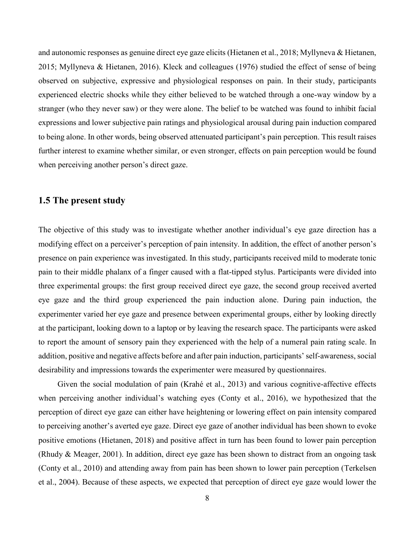and autonomic responses as genuine direct eye gaze elicits (Hietanen et al., 2018; Myllyneva & Hietanen, 2015; Myllyneva & Hietanen, 2016). Kleck and colleagues (1976) studied the effect of sense of being observed on subjective, expressive and physiological responses on pain. In their study, participants experienced electric shocks while they either believed to be watched through a one-way window by a stranger (who they never saw) or they were alone. The belief to be watched was found to inhibit facial expressions and lower subjective pain ratings and physiological arousal during pain induction compared to being alone. In other words, being observed attenuated participant's pain perception. This result raises further interest to examine whether similar, or even stronger, effects on pain perception would be found when perceiving another person's direct gaze.

#### **1.5 The present study**

The objective of this study was to investigate whether another individual's eye gaze direction has a modifying effect on a perceiver's perception of pain intensity. In addition, the effect of another person's presence on pain experience was investigated. In this study, participants received mild to moderate tonic pain to their middle phalanx of a finger caused with a flat-tipped stylus. Participants were divided into three experimental groups: the first group received direct eye gaze, the second group received averted eye gaze and the third group experienced the pain induction alone. During pain induction, the experimenter varied her eye gaze and presence between experimental groups, either by looking directly at the participant, looking down to a laptop or by leaving the research space. The participants were asked to report the amount of sensory pain they experienced with the help of a numeral pain rating scale. In addition, positive and negative affects before and after pain induction, participants' self-awareness, social desirability and impressions towards the experimenter were measured by questionnaires.

Given the social modulation of pain (Krahé et al., 2013) and various cognitive-affective effects when perceiving another individual's watching eyes (Conty et al., 2016), we hypothesized that the perception of direct eye gaze can either have heightening or lowering effect on pain intensity compared to perceiving another's averted eye gaze. Direct eye gaze of another individual has been shown to evoke positive emotions (Hietanen, 2018) and positive affect in turn has been found to lower pain perception (Rhudy & Meager, 2001). In addition, direct eye gaze has been shown to distract from an ongoing task (Conty et al., 2010) and attending away from pain has been shown to lower pain perception (Terkelsen et al., 2004). Because of these aspects, we expected that perception of direct eye gaze would lower the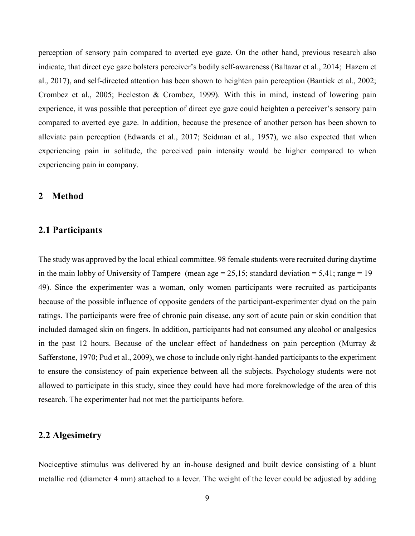perception of sensory pain compared to averted eye gaze. On the other hand, previous research also indicate, that direct eye gaze bolsters perceiver's bodily self-awareness (Baltazar et al., 2014; Hazem et al., 2017), and self-directed attention has been shown to heighten pain perception (Bantick et al., 2002; Crombez et al., 2005; Eccleston & Crombez, 1999). With this in mind, instead of lowering pain experience, it was possible that perception of direct eye gaze could heighten a perceiver's sensory pain compared to averted eye gaze. In addition, because the presence of another person has been shown to alleviate pain perception (Edwards et al., 2017; Seidman et al., 1957), we also expected that when experiencing pain in solitude, the perceived pain intensity would be higher compared to when experiencing pain in company.

#### **2 Method**

#### **2.1 Participants**

The study was approved by the local ethical committee. 98 female students were recruited during daytime in the main lobby of University of Tampere (mean age  $= 25.15$ ; standard deviation  $= 5.41$ ; range  $= 19$ – 49). Since the experimenter was a woman, only women participants were recruited as participants because of the possible influence of opposite genders of the participant-experimenter dyad on the pain ratings. The participants were free of chronic pain disease, any sort of acute pain or skin condition that included damaged skin on fingers. In addition, participants had not consumed any alcohol or analgesics in the past 12 hours. Because of the unclear effect of handedness on pain perception (Murray & Safferstone, 1970; Pud et al., 2009), we chose to include only right-handed participants to the experiment to ensure the consistency of pain experience between all the subjects. Psychology students were not allowed to participate in this study, since they could have had more foreknowledge of the area of this research. The experimenter had not met the participants before.

#### **2.2 Algesimetry**

Nociceptive stimulus was delivered by an in-house designed and built device consisting of a blunt metallic rod (diameter 4 mm) attached to a lever. The weight of the lever could be adjusted by adding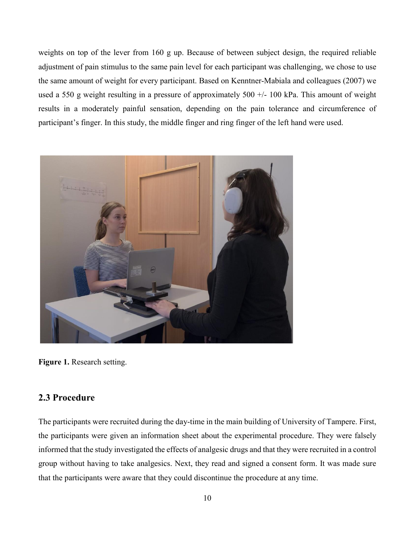weights on top of the lever from 160 g up. Because of between subject design, the required reliable adjustment of pain stimulus to the same pain level for each participant was challenging, we chose to use the same amount of weight for every participant. Based on Kenntner-Mabiala and colleagues (2007) we used a 550 g weight resulting in a pressure of approximately 500 +/- 100 kPa. This amount of weight results in a moderately painful sensation, depending on the pain tolerance and circumference of participant's finger. In this study, the middle finger and ring finger of the left hand were used.



**Figure 1.** Research setting.

## **2.3 Procedure**

The participants were recruited during the day-time in the main building of University of Tampere. First, the participants were given an information sheet about the experimental procedure. They were falsely informed that the study investigated the effects of analgesic drugs and that they were recruited in a control group without having to take analgesics. Next, they read and signed a consent form. It was made sure that the participants were aware that they could discontinue the procedure at any time.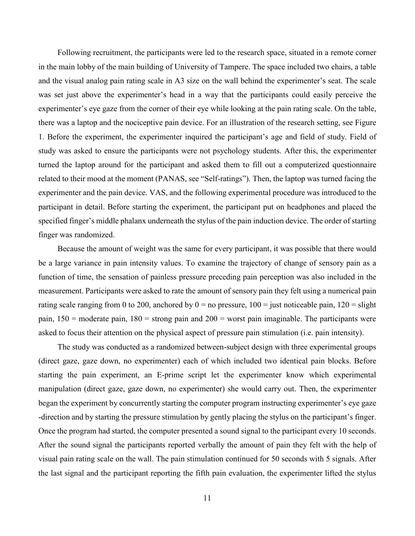Following recruitment, the participants were led to the research space, situated in a remote corner in the main lobby of the main building of University of Tampere. The space included two chairs, a table and the visual analog pain rating scale in A3 size on the wall behind the experimenter's seat. The scale was set just above the experimenter's head in a way that the participants could easily perceive the experimenter's eye gaze from the corner of their eye while looking at the pain rating scale. On the table, there was a laptop and the nociceptive pain device. For an illustration of the research setting, see Figure 1. Before the experiment, the experimenter inquired the participant's age and field of study. Field of study was asked to ensure the participants were not psychology students. After this, the experimenter turned the laptop around for the participant and asked them to fill out a computerized questionnaire related to their mood at the moment (PANAS, see "Self-ratings"). Then, the laptop was turned facing the experimenter and the pain device. VAS, and the following experimental procedure was introduced to the participant in detail. Before starting the experiment, the participant put on headphones and placed the specified finger's middle phalanx underneath the stylus of the pain induction device. The order of starting finger was randomized.

Because the amount of weight was the same for every participant, it was possible that there would be a large variance in pain intensity values. To examine the trajectory of change of sensory pain as a function of time, the sensation of painless pressure preceding pain perception was also included in the measurement. Participants were asked to rate the amount of sensory pain they felt using a numerical pain rating scale ranging from 0 to 200, anchored by  $0 =$  no pressure,  $100 =$  just noticeable pain,  $120 =$  slight pain,  $150$  = moderate pain,  $180$  = strong pain and  $200$  = worst pain imaginable. The participants were asked to focus their attention on the physical aspect of pressure pain stimulation (i.e. pain intensity).

The study was conducted as a randomized between-subject design with three experimental groups (direct gaze, gaze down, no experimenter) each of which included two identical pain blocks. Before starting the pain experiment, an E-prime script let the experimenter know which experimental manipulation (direct gaze, gaze down, no experimenter) she would carry out. Then, the experimenter began the experiment by concurrently starting the computer program instructing experimenter's eye gaze -direction and by starting the pressure stimulation by gently placing the stylus on the participant's finger. Once the program had started, the computer presented a sound signal to the participant every 10 seconds. After the sound signal the participants reported verbally the amount of pain they felt with the help of visual pain rating scale on the wall. The pain stimulation continued for 50 seconds with 5 signals. After the last signal and the participant reporting the fifth pain evaluation, the experimenter lifted the stylus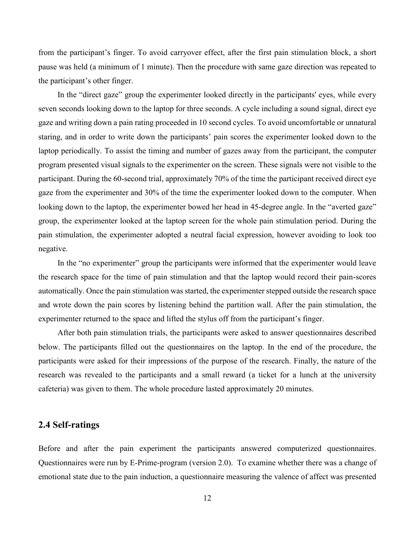from the participant's finger. To avoid carryover effect, after the first pain stimulation block, a short pause was held (a minimum of 1 minute). Then the procedure with same gaze direction was repeated to the participant's other finger.

In the "direct gaze" group the experimenter looked directly in the participants' eyes, while every seven seconds looking down to the laptop for three seconds. A cycle including a sound signal, direct eye gaze and writing down a pain rating proceeded in 10 second cycles. To avoid uncomfortable or unnatural staring, and in order to write down the participants' pain scores the experimenter looked down to the laptop periodically. To assist the timing and number of gazes away from the participant, the computer program presented visual signals to the experimenter on the screen. These signals were not visible to the participant. During the 60-second trial, approximately 70% of the time the participant received direct eye gaze from the experimenter and 30% of the time the experimenter looked down to the computer. When looking down to the laptop, the experimenter bowed her head in 45-degree angle. In the "averted gaze" group, the experimenter looked at the laptop screen for the whole pain stimulation period. During the pain stimulation, the experimenter adopted a neutral facial expression, however avoiding to look too negative.

In the "no experimenter" group the participants were informed that the experimenter would leave the research space for the time of pain stimulation and that the laptop would record their pain-scores automatically. Once the pain stimulation was started, the experimenter stepped outside the research space and wrote down the pain scores by listening behind the partition wall. After the pain stimulation, the experimenter returned to the space and lifted the stylus off from the participant's finger.

After both pain stimulation trials, the participants were asked to answer questionnaires described below. The participants filled out the questionnaires on the laptop. In the end of the procedure, the participants were asked for their impressions of the purpose of the research. Finally, the nature of the research was revealed to the participants and a small reward (a ticket for a lunch at the university cafeteria) was given to them. The whole procedure lasted approximately 20 minutes.

#### **2.4 Self-ratings**

Before and after the pain experiment the participants answered computerized questionnaires. Questionnaires were run by E-Prime-program (version 2.0). To examine whether there was a change of emotional state due to the pain induction, a questionnaire measuring the valence of affect was presented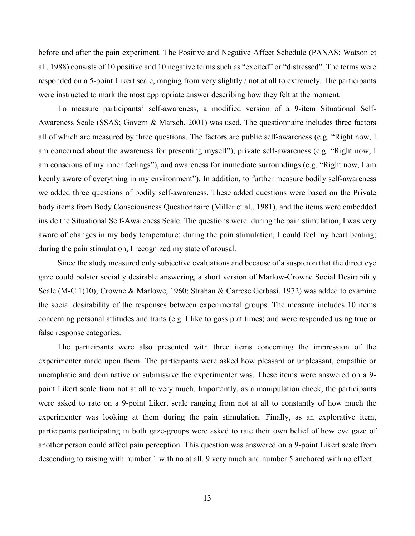before and after the pain experiment. The Positive and Negative Affect Schedule (PANAS; Watson et al., 1988) consists of 10 positive and 10 negative terms such as "excited" or "distressed". The terms were responded on a 5-point Likert scale, ranging from very slightly / not at all to extremely. The participants were instructed to mark the most appropriate answer describing how they felt at the moment.

To measure participants' self-awareness, a modified version of a 9-item Situational Self-Awareness Scale (SSAS; Govern & Marsch, 2001) was used. The questionnaire includes three factors all of which are measured by three questions. The factors are public self-awareness (e.g. "Right now, I am concerned about the awareness for presenting myself"), private self-awareness (e.g. "Right now, I am conscious of my inner feelings"), and awareness for immediate surroundings (e.g. "Right now, I am keenly aware of everything in my environment"). In addition, to further measure bodily self-awareness we added three questions of bodily self-awareness. These added questions were based on the Private body items from Body Consciousness Questionnaire (Miller et al., 1981), and the items were embedded inside the Situational Self-Awareness Scale. The questions were: during the pain stimulation, I was very aware of changes in my body temperature; during the pain stimulation, I could feel my heart beating; during the pain stimulation, I recognized my state of arousal.

Since the study measured only subjective evaluations and because of a suspicion that the direct eye gaze could bolster socially desirable answering, a short version of Marlow-Crowne Social Desirability Scale (M-C 1(10); Crowne & Marlowe, 1960; Strahan & Carrese Gerbasi, 1972) was added to examine the social desirability of the responses between experimental groups. The measure includes 10 items concerning personal attitudes and traits (e.g. I like to gossip at times) and were responded using true or false response categories.

The participants were also presented with three items concerning the impression of the experimenter made upon them. The participants were asked how pleasant or unpleasant, empathic or unemphatic and dominative or submissive the experimenter was. These items were answered on a 9 point Likert scale from not at all to very much. Importantly, as a manipulation check, the participants were asked to rate on a 9-point Likert scale ranging from not at all to constantly of how much the experimenter was looking at them during the pain stimulation. Finally, as an explorative item, participants participating in both gaze-groups were asked to rate their own belief of how eye gaze of another person could affect pain perception. This question was answered on a 9-point Likert scale from descending to raising with number 1 with no at all, 9 very much and number 5 anchored with no effect.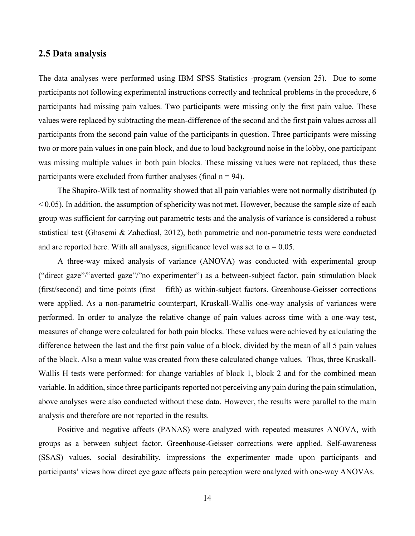#### **2.5 Data analysis**

The data analyses were performed using IBM SPSS Statistics -program (version 25). Due to some participants not following experimental instructions correctly and technical problems in the procedure, 6 participants had missing pain values. Two participants were missing only the first pain value. These values were replaced by subtracting the mean-difference of the second and the first pain values across all participants from the second pain value of the participants in question. Three participants were missing two or more pain values in one pain block, and due to loud background noise in the lobby, one participant was missing multiple values in both pain blocks. These missing values were not replaced, thus these participants were excluded from further analyses (final  $n = 94$ ).

The Shapiro-Wilk test of normality showed that all pain variables were not normally distributed (p  $< 0.05$ ). In addition, the assumption of sphericity was not met. However, because the sample size of each group was sufficient for carrying out parametric tests and the analysis of variance is considered a robust statistical test (Ghasemi & Zahediasl, 2012), both parametric and non-parametric tests were conducted and are reported here. With all analyses, significance level was set to  $\alpha = 0.05$ .

A three-way mixed analysis of variance (ANOVA) was conducted with experimental group ("direct gaze"/"averted gaze"/"no experimenter") as a between-subject factor, pain stimulation block (first/second) and time points (first – fifth) as within-subject factors. Greenhouse-Geisser corrections were applied. As a non-parametric counterpart, Kruskall-Wallis one-way analysis of variances were performed. In order to analyze the relative change of pain values across time with a one-way test, measures of change were calculated for both pain blocks. These values were achieved by calculating the difference between the last and the first pain value of a block, divided by the mean of all 5 pain values of the block. Also a mean value was created from these calculated change values. Thus, three Kruskall-Wallis H tests were performed: for change variables of block 1, block 2 and for the combined mean variable. In addition, since three participants reported not perceiving any pain during the pain stimulation, above analyses were also conducted without these data. However, the results were parallel to the main analysis and therefore are not reported in the results.

Positive and negative affects (PANAS) were analyzed with repeated measures ANOVA, with groups as a between subject factor. Greenhouse-Geisser corrections were applied. Self-awareness (SSAS) values, social desirability, impressions the experimenter made upon participants and participants' views how direct eye gaze affects pain perception were analyzed with one-way ANOVAs.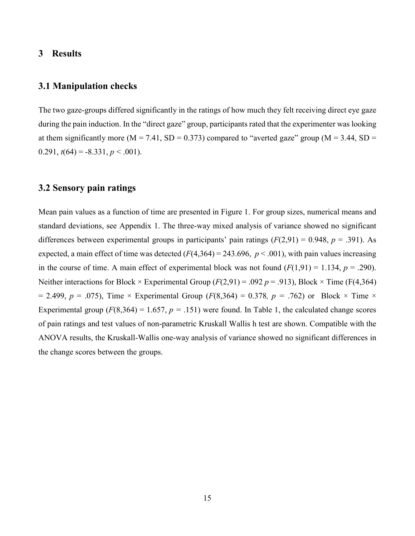#### **3 Results**

### **3.1 Manipulation checks**

The two gaze-groups differed significantly in the ratings of how much they felt receiving direct eye gaze during the pain induction. In the "direct gaze" group, participants rated that the experimenter was looking at them significantly more ( $M = 7.41$ ,  $SD = 0.373$ ) compared to "averted gaze" group ( $M = 3.44$ ,  $SD =$ 0.291,  $t(64) = -8.331, p < .001$ .

#### **3.2 Sensory pain ratings**

Mean pain values as a function of time are presented in Figure 1. For group sizes, numerical means and standard deviations, see Appendix 1. The three-way mixed analysis of variance showed no significant differences between experimental groups in participants' pain ratings  $(F(2,91) = 0.948, p = .391)$ . As expected, a main effect of time was detected  $(F(4,364) = 243.696, p < .001)$ , with pain values increasing in the course of time. A main effect of experimental block was not found  $(F(1,91) = 1.134, p = .290)$ . Neither interactions for Block  $\times$  Experimental Group ( $F(2,91) = .092$   $p = .913$ ), Block  $\times$  Time ( $F(4,364)$ ) = 2.499,  $p = .075$ ), Time  $\times$  Experimental Group ( $F(8,364) = 0.378$ ,  $p = .762$ ) or Block  $\times$  Time  $\times$ Experimental group  $(F(8,364) = 1.657, p = .151)$  were found. In Table 1, the calculated change scores of pain ratings and test values of non-parametric Kruskall Wallis h test are shown. Compatible with the ANOVA results, the Kruskall-Wallis one-way analysis of variance showed no significant differences in the change scores between the groups.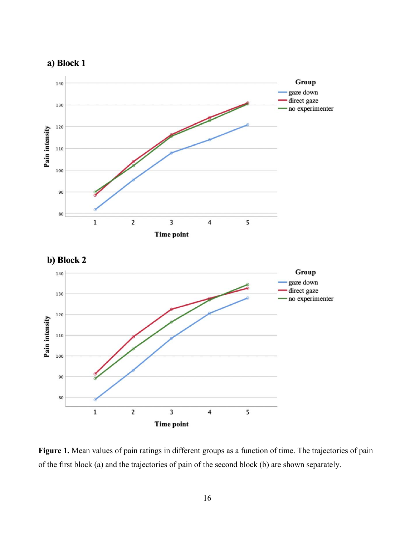





Figure 1. Mean values of pain ratings in different groups as a function of time. The trajectories of pain of the first block (a) and the trajectories of pain of the second block (b) are shown separately.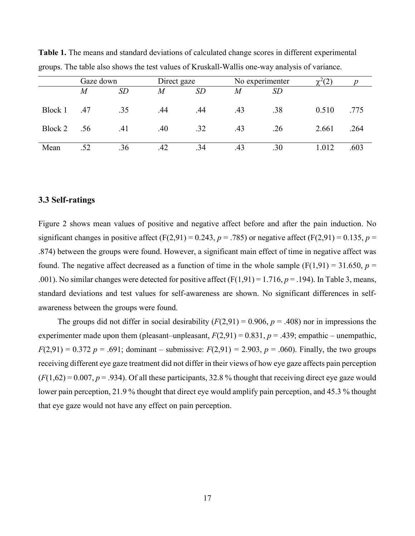|         | Gaze down |     |     | Direct gaze |     | No experimenter |       |      |
|---------|-----------|-----|-----|-------------|-----|-----------------|-------|------|
|         | M         | SD  | M   | SD          | M   | SD              |       |      |
|         |           |     |     |             |     |                 |       |      |
| Block 1 | .47       | .35 | .44 | .44         | .43 | .38             | 0.510 | .775 |
| Block 2 | .56       | .41 | .40 | .32         | .43 | .26             | 2.661 | .264 |
|         |           |     |     |             |     |                 |       |      |
| Mean    | .52       | .36 | .42 | .34         |     | .30             | l.012 | .603 |

**Table 1.** The means and standard deviations of calculated change scores in different experimental groups. The table also shows the test values of Kruskall-Wallis one-way analysis of variance.

#### **3.3 Self-ratings**

Figure 2 shows mean values of positive and negative affect before and after the pain induction. No significant changes in positive affect  $(F(2,91) = 0.243, p = .785)$  or negative affect  $(F(2,91) = 0.135, p =$ .874) between the groups were found. However, a significant main effect of time in negative affect was found. The negative affect decreased as a function of time in the whole sample  $(F(1,91) = 31.650, p =$ .001). No similar changes were detected for positive affect  $(F(1,91) = 1.716, p = .194)$ . In Table 3, means, standard deviations and test values for self-awareness are shown. No significant differences in selfawareness between the groups were found.

The groups did not differ in social desirability  $(F(2,91) = 0.906, p = .408)$  nor in impressions the experimenter made upon them (pleasant–unpleasant,  $F(2,91) = 0.831$ ,  $p = .439$ ; empathic – unempathic, *F*(2,91) = 0.372 *p* = .691; dominant – submissive: *F*(2,91) = 2.903, *p* = .060). Finally, the two groups receiving different eye gaze treatment did not differ in their views of how eye gaze affects pain perception  $(F(1,62) = 0.007, p = .934)$ . Of all these participants, 32.8% thought that receiving direct eye gaze would lower pain perception, 21.9 % thought that direct eye would amplify pain perception, and 45.3 % thought that eye gaze would not have any effect on pain perception.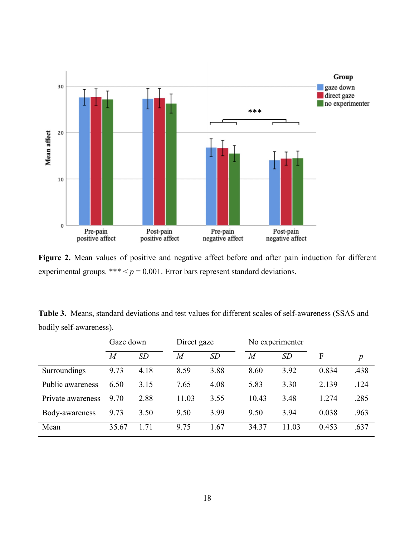

**Figure 2.** Mean values of positive and negative affect before and after pain induction for different experimental groups. \*\*\*  $\leq p = 0.001$ . Error bars represent standard deviations.

**Table 3.** Means, standard deviations and test values for different scales of self-awareness (SSAS and bodily self-awareness).

|                   | Gaze down      |      | Direct gaze    |      | No experimenter |       |       |                  |
|-------------------|----------------|------|----------------|------|-----------------|-------|-------|------------------|
|                   | $\overline{M}$ | SD   | $\overline{M}$ | SD   | $\overline{M}$  | SD    | F     | $\boldsymbol{p}$ |
| Surroundings      | 9.73           | 4.18 | 8.59           | 3.88 | 8.60            | 3.92  | 0.834 | .438             |
| Public awareness  | 6.50           | 3.15 | 7.65           | 4.08 | 5.83            | 3.30  | 2.139 | .124             |
| Private awareness | 9.70           | 2.88 | 11.03          | 3.55 | 10.43           | 3.48  | 1.274 | .285             |
| Body-awareness    | 9.73           | 3.50 | 9.50           | 3.99 | 9.50            | 3.94  | 0.038 | .963             |
| Mean              | 35.67          | l.71 | 9.75           | 1.67 | 34.37           | 11.03 | 0.453 | .637             |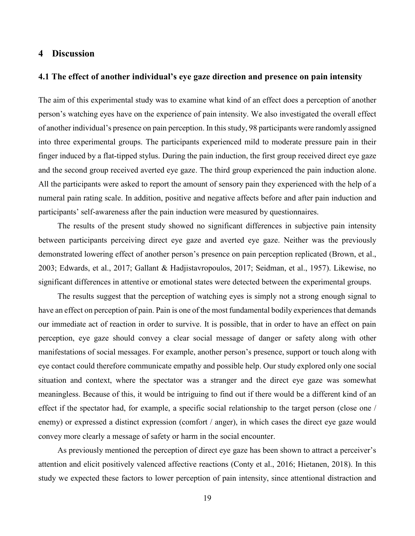#### **4 Discussion**

#### **4.1 The effect of another individual's eye gaze direction and presence on pain intensity**

The aim of this experimental study was to examine what kind of an effect does a perception of another person's watching eyes have on the experience of pain intensity. We also investigated the overall effect of another individual's presence on pain perception. In this study, 98 participants were randomly assigned into three experimental groups. The participants experienced mild to moderate pressure pain in their finger induced by a flat-tipped stylus. During the pain induction, the first group received direct eye gaze and the second group received averted eye gaze. The third group experienced the pain induction alone. All the participants were asked to report the amount of sensory pain they experienced with the help of a numeral pain rating scale. In addition, positive and negative affects before and after pain induction and participants' self-awareness after the pain induction were measured by questionnaires.

The results of the present study showed no significant differences in subjective pain intensity between participants perceiving direct eye gaze and averted eye gaze. Neither was the previously demonstrated lowering effect of another person's presence on pain perception replicated (Brown, et al., 2003; Edwards, et al., 2017; Gallant & Hadjistavropoulos, 2017; Seidman, et al., 1957). Likewise, no significant differences in attentive or emotional states were detected between the experimental groups.

The results suggest that the perception of watching eyes is simply not a strong enough signal to have an effect on perception of pain. Pain is one of the most fundamental bodily experiences that demands our immediate act of reaction in order to survive. It is possible, that in order to have an effect on pain perception, eye gaze should convey a clear social message of danger or safety along with other manifestations of social messages. For example, another person's presence, support or touch along with eye contact could therefore communicate empathy and possible help. Our study explored only one social situation and context, where the spectator was a stranger and the direct eye gaze was somewhat meaningless. Because of this, it would be intriguing to find out if there would be a different kind of an effect if the spectator had, for example, a specific social relationship to the target person (close one / enemy) or expressed a distinct expression (comfort / anger), in which cases the direct eye gaze would convey more clearly a message of safety or harm in the social encounter.

As previously mentioned the perception of direct eye gaze has been shown to attract a perceiver's attention and elicit positively valenced affective reactions (Conty et al., 2016; Hietanen, 2018). In this study we expected these factors to lower perception of pain intensity, since attentional distraction and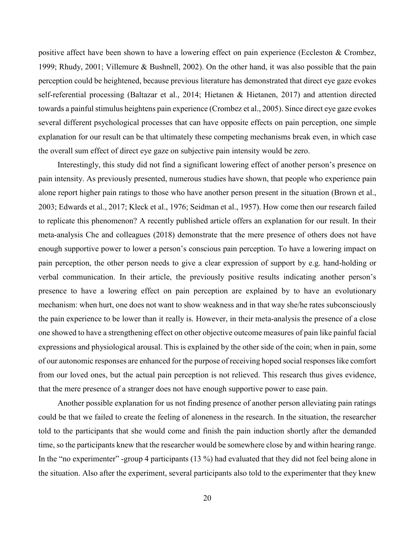positive affect have been shown to have a lowering effect on pain experience (Eccleston & Crombez, 1999; Rhudy, 2001; Villemure & Bushnell, 2002). On the other hand, it was also possible that the pain perception could be heightened, because previous literature has demonstrated that direct eye gaze evokes self-referential processing (Baltazar et al., 2014; Hietanen & Hietanen, 2017) and attention directed towards a painful stimulus heightens pain experience (Crombez et al., 2005). Since direct eye gaze evokes several different psychological processes that can have opposite effects on pain perception, one simple explanation for our result can be that ultimately these competing mechanisms break even, in which case the overall sum effect of direct eye gaze on subjective pain intensity would be zero.

Interestingly, this study did not find a significant lowering effect of another person's presence on pain intensity. As previously presented, numerous studies have shown, that people who experience pain alone report higher pain ratings to those who have another person present in the situation (Brown et al., 2003; Edwards et al., 2017; Kleck et al., 1976; Seidman et al., 1957). How come then our research failed to replicate this phenomenon? A recently published article offers an explanation for our result. In their meta-analysis Che and colleagues (2018) demonstrate that the mere presence of others does not have enough supportive power to lower a person's conscious pain perception. To have a lowering impact on pain perception, the other person needs to give a clear expression of support by e.g. hand-holding or verbal communication. In their article, the previously positive results indicating another person's presence to have a lowering effect on pain perception are explained by to have an evolutionary mechanism: when hurt, one does not want to show weakness and in that way she/he rates subconsciously the pain experience to be lower than it really is. However, in their meta-analysis the presence of a close one showed to have a strengthening effect on other objective outcome measures of pain like painful facial expressions and physiological arousal. This is explained by the other side of the coin; when in pain, some of our autonomic responses are enhanced for the purpose of receiving hoped social responses like comfort from our loved ones, but the actual pain perception is not relieved. This research thus gives evidence, that the mere presence of a stranger does not have enough supportive power to ease pain.

Another possible explanation for us not finding presence of another person alleviating pain ratings could be that we failed to create the feeling of aloneness in the research. In the situation, the researcher told to the participants that she would come and finish the pain induction shortly after the demanded time, so the participants knew that the researcher would be somewhere close by and within hearing range. In the "no experimenter" -group 4 participants (13 %) had evaluated that they did not feel being alone in the situation. Also after the experiment, several participants also told to the experimenter that they knew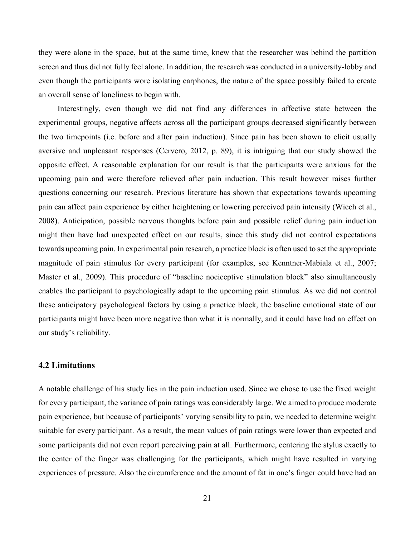they were alone in the space, but at the same time, knew that the researcher was behind the partition screen and thus did not fully feel alone. In addition, the research was conducted in a university-lobby and even though the participants wore isolating earphones, the nature of the space possibly failed to create an overall sense of loneliness to begin with.

Interestingly, even though we did not find any differences in affective state between the experimental groups, negative affects across all the participant groups decreased significantly between the two timepoints (i.e. before and after pain induction). Since pain has been shown to elicit usually aversive and unpleasant responses (Cervero, 2012, p. 89), it is intriguing that our study showed the opposite effect. A reasonable explanation for our result is that the participants were anxious for the upcoming pain and were therefore relieved after pain induction. This result however raises further questions concerning our research. Previous literature has shown that expectations towards upcoming pain can affect pain experience by either heightening or lowering perceived pain intensity (Wiech et al., 2008). Anticipation, possible nervous thoughts before pain and possible relief during pain induction might then have had unexpected effect on our results, since this study did not control expectations towards upcoming pain. In experimental pain research, a practice block is often used to set the appropriate magnitude of pain stimulus for every participant (for examples, see Kenntner-Mabiala et al., 2007; Master et al., 2009). This procedure of "baseline nociceptive stimulation block" also simultaneously enables the participant to psychologically adapt to the upcoming pain stimulus. As we did not control these anticipatory psychological factors by using a practice block, the baseline emotional state of our participants might have been more negative than what it is normally, and it could have had an effect on our study's reliability.

#### **4.2 Limitations**

A notable challenge of his study lies in the pain induction used. Since we chose to use the fixed weight for every participant, the variance of pain ratings was considerably large. We aimed to produce moderate pain experience, but because of participants' varying sensibility to pain, we needed to determine weight suitable for every participant. As a result, the mean values of pain ratings were lower than expected and some participants did not even report perceiving pain at all. Furthermore, centering the stylus exactly to the center of the finger was challenging for the participants, which might have resulted in varying experiences of pressure. Also the circumference and the amount of fat in one's finger could have had an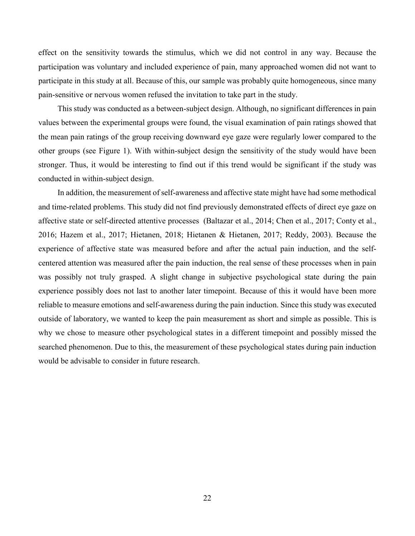effect on the sensitivity towards the stimulus, which we did not control in any way. Because the participation was voluntary and included experience of pain, many approached women did not want to participate in this study at all. Because of this, our sample was probably quite homogeneous, since many pain-sensitive or nervous women refused the invitation to take part in the study.

This study was conducted as a between-subject design. Although, no significant differences in pain values between the experimental groups were found, the visual examination of pain ratings showed that the mean pain ratings of the group receiving downward eye gaze were regularly lower compared to the other groups (see Figure 1). With within-subject design the sensitivity of the study would have been stronger. Thus, it would be interesting to find out if this trend would be significant if the study was conducted in within-subject design.

In addition, the measurement of self-awareness and affective state might have had some methodical and time-related problems. This study did not find previously demonstrated effects of direct eye gaze on affective state or self-directed attentive processes (Baltazar et al., 2014; Chen et al., 2017; Conty et al., 2016; Hazem et al., 2017; Hietanen, 2018; Hietanen & Hietanen, 2017; Reddy, 2003). Because the experience of affective state was measured before and after the actual pain induction, and the selfcentered attention was measured after the pain induction, the real sense of these processes when in pain was possibly not truly grasped. A slight change in subjective psychological state during the pain experience possibly does not last to another later timepoint. Because of this it would have been more reliable to measure emotions and self-awareness during the pain induction. Since this study was executed outside of laboratory, we wanted to keep the pain measurement as short and simple as possible. This is why we chose to measure other psychological states in a different timepoint and possibly missed the searched phenomenon. Due to this, the measurement of these psychological states during pain induction would be advisable to consider in future research.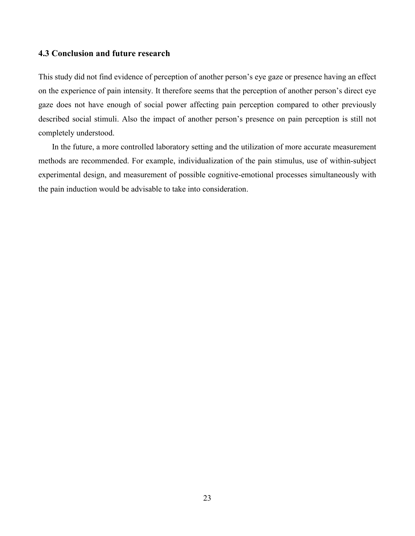#### **4.3 Conclusion and future research**

This study did not find evidence of perception of another person's eye gaze or presence having an effect on the experience of pain intensity. It therefore seems that the perception of another person's direct eye gaze does not have enough of social power affecting pain perception compared to other previously described social stimuli. Also the impact of another person's presence on pain perception is still not completely understood.

In the future, a more controlled laboratory setting and the utilization of more accurate measurement methods are recommended. For example, individualization of the pain stimulus, use of within-subject experimental design, and measurement of possible cognitive-emotional processes simultaneously with the pain induction would be advisable to take into consideration.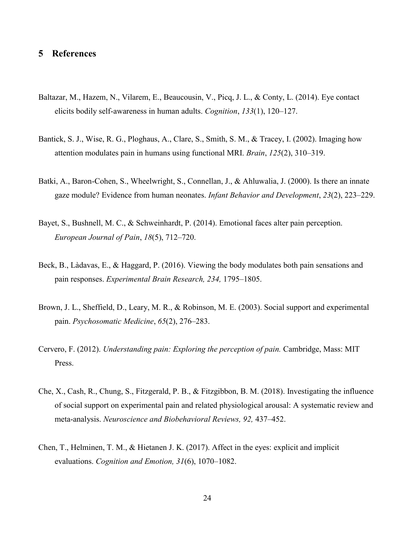# **5 References**

- Baltazar, M., Hazem, N., Vilarem, E., Beaucousin, V., Picq, J. L., & Conty, L. (2014). Eye contact elicits bodily self-awareness in human adults. *Cognition*, *133*(1), 120–127.
- Bantick, S. J., Wise, R. G., Ploghaus, A., Clare, S., Smith, S. M., & Tracey, I. (2002). Imaging how attention modulates pain in humans using functional MRI. *Brain*, *125*(2), 310–319.
- Batki, A., Baron-Cohen, S., Wheelwright, S., Connellan, J., & Ahluwalia, J. (2000). Is there an innate gaze module? Evidence from human neonates. *Infant Behavior and Development*, *23*(2), 223–229.
- Bayet, S., Bushnell, M. C., & Schweinhardt, P. (2014). Emotional faces alter pain perception. *European Journal of Pain*, *18*(5), 712–720.
- Beck, B., Làdavas, E., & Haggard, P. (2016). Viewing the body modulates both pain sensations and pain responses. *Experimental Brain Research, 234,* 1795–1805.
- Brown, J. L., Sheffield, D., Leary, M. R., & Robinson, M. E. (2003). Social support and experimental pain. *Psychosomatic Medicine*, *65*(2), 276–283.
- Cervero, F. (2012). *Understanding pain: Exploring the perception of pain.* Cambridge, Mass: MIT Press.
- Che, X., Cash, R., Chung, S., Fitzgerald, P. B., & Fitzgibbon, B. M. (2018). Investigating the influence of social support on experimental pain and related physiological arousal: A systematic review and meta-analysis. *Neuroscience and Biobehavioral Reviews, 92,* 437–452.
- Chen, T., Helminen, T. M., & Hietanen J. K. (2017). Affect in the eyes: explicit and implicit evaluations. *Cognition and Emotion, 31*(6), 1070–1082.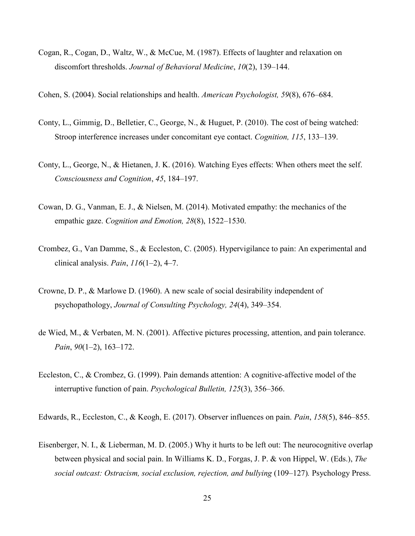Cogan, R., Cogan, D., Waltz, W., & McCue, M. (1987). Effects of laughter and relaxation on discomfort thresholds. *Journal of Behavioral Medicine*, *10*(2), 139–144.

Cohen, S. (2004). Social relationships and health. *American Psychologist, 59*(8), 676–684.

- Conty, L., Gimmig, D., Belletier, C., George, N., & Huguet, P. (2010). The cost of being watched: Stroop interference increases under concomitant eye contact. *Cognition, 115*, 133–139.
- Conty, L., George, N., & Hietanen, J. K. (2016). Watching Eyes effects: When others meet the self. *Consciousness and Cognition*, *45*, 184–197.
- Cowan, D. G., Vanman, E. J., & Nielsen, M. (2014). Motivated empathy: the mechanics of the empathic gaze. *Cognition and Emotion, 28*(8), 1522–1530.
- Crombez, G., Van Damme, S., & Eccleston, C. (2005). Hypervigilance to pain: An experimental and clinical analysis. *Pain*, *116*(1–2), 4–7.
- Crowne, D. P., & Marlowe D. (1960). A new scale of social desirability independent of psychopathology, *Journal of Consulting Psychology, 24*(4), 349–354.
- de Wied, M., & Verbaten, M. N. (2001). Affective pictures processing, attention, and pain tolerance. *Pain*, *90*(1–2), 163–172.
- Eccleston, C., & Crombez, G. (1999). Pain demands attention: A cognitive-affective model of the interruptive function of pain. *Psychological Bulletin, 125*(3), 356–366.

Edwards, R., Eccleston, C., & Keogh, E. (2017). Observer influences on pain. *Pain*, *158*(5), 846–855.

Eisenberger, N. I., & Lieberman, M. D. (2005.) Why it hurts to be left out: The neurocognitive overlap between physical and social pain. In Williams K. D., Forgas, J. P. & von Hippel, W. (Eds.), *The social outcast: Ostracism, social exclusion, rejection, and bullying* (109–127)*.* Psychology Press.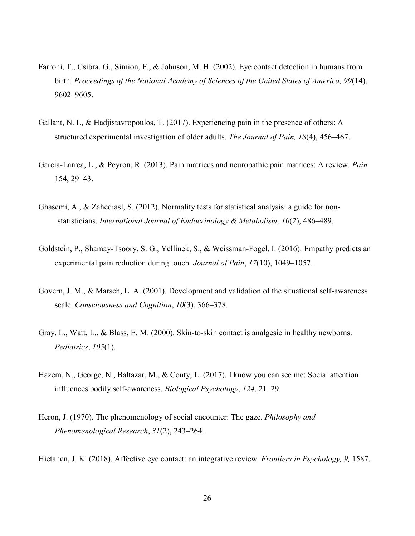- Farroni, T., Csibra, G., Simion, F., & Johnson, M. H. (2002). Eye contact detection in humans from birth. *Proceedings of the National Academy of Sciences of the United States of America, 99*(14), 9602–9605.
- Gallant, N. L, & Hadjistavropoulos, T. (2017). Experiencing pain in the presence of others: A structured experimental investigation of older adults. *The Journal of Pain, 18*(4), 456–467.
- Garcia-Larrea, L., & Peyron, R. (2013). Pain matrices and neuropathic pain matrices: A review. *Pain,* 154, 29–43.
- Ghasemi, A., & Zahediasl, S. (2012). Normality tests for statistical analysis: a guide for nonstatisticians. *International Journal of Endocrinology & Metabolism, 10*(2), 486–489.
- Goldstein, P., Shamay-Tsoory, S. G., Yellinek, S., & Weissman-Fogel, I. (2016). Empathy predicts an experimental pain reduction during touch. *Journal of Pain*, *17*(10), 1049–1057.
- Govern, J. M., & Marsch, L. A. (2001). Development and validation of the situational self-awareness scale. *Consciousness and Cognition*, *10*(3), 366–378.
- Gray, L., Watt, L., & Blass, E. M. (2000). Skin-to-skin contact is analgesic in healthy newborns. *Pediatrics*, *105*(1).
- Hazem, N., George, N., Baltazar, M., & Conty, L. (2017). I know you can see me: Social attention influences bodily self-awareness. *Biological Psychology*, *124*, 21–29.
- Heron, J. (1970). The phenomenology of social encounter: The gaze. *Philosophy and Phenomenological Research*, *31*(2), 243–264.
- Hietanen, J. K. (2018). Affective eye contact: an integrative review. *Frontiers in Psychology, 9,* 1587.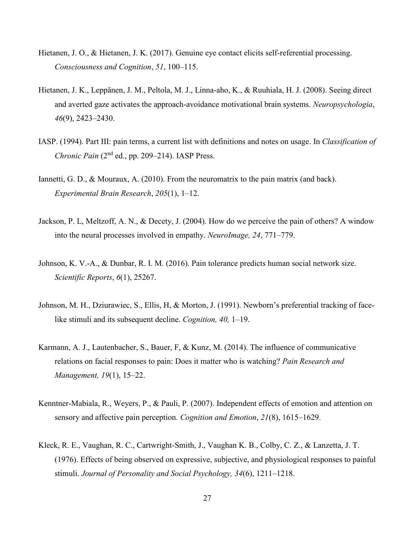- Hietanen, J. O., & Hietanen, J. K. (2017). Genuine eye contact elicits self-referential processing. *Consciousness and Cognition*, *51*, 100–115.
- Hietanen, J. K., Leppänen, J. M., Peltola, M. J., Linna-aho, K., & Ruuhiala, H. J. (2008). Seeing direct and averted gaze activates the approach-avoidance motivational brain systems. *Neuropsychologia*, *46*(9), 2423–2430.
- IASP. (1994). Part III: pain terms, a current list with definitions and notes on usage. In *Classification of*  Chronic Pain (2<sup>nd</sup> ed., pp. 209–214). IASP Press.
- Iannetti, G. D., & Mouraux, A. (2010). From the neuromatrix to the pain matrix (and back). *Experimental Brain Research*, *205*(1), 1–12.
- Jackson, P. L, Meltzoff, A. N., & Decety, J. (2004). How do we perceive the pain of others? A window into the neural processes involved in empathy. *NeuroImage, 24*, 771–779.
- Johnson, K. V.-A., & Dunbar, R. I. M. (2016). Pain tolerance predicts human social network size. *Scientific Reports*, *6*(1), 25267.
- Johnson, M. H., Dziurawiec, S., Ellis, H, & Morton, J. (1991). Newborn's preferential tracking of facelike stimuli and its subsequent decline. *Cognition, 40,* 1–19.
- Karmann, A. J., Lautenbacher, S., Bauer, F, & Kunz, M. (2014). The influence of communicative relations on facial responses to pain: Does it matter who is watching? *Pain Research and Management, 19*(1), 15–22.
- Kenntner-Mabiala, R., Weyers, P., & Pauli, P. (2007). Independent effects of emotion and attention on sensory and affective pain perception. *Cognition and Emotion*, *21*(8), 1615–1629.
- Kleck, R. E., Vaughan, R. C., Cartwright-Smith, J., Vaughan K. B., Colby, C. Z., & Lanzetta, J. T. (1976). Effects of being observed on expressive, subjective, and physiological responses to painful stimuli. *Journal of Personality and Social Psychology, 34*(6), 1211–1218.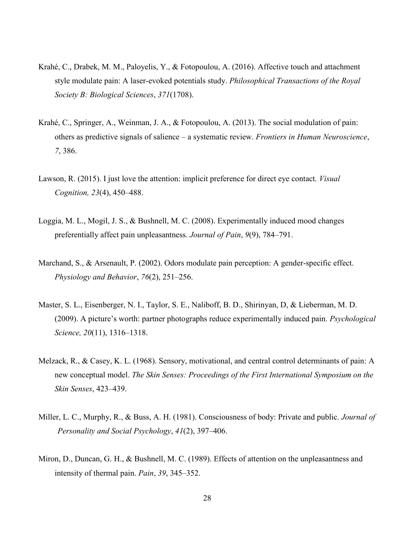- Krahé, C., Drabek, M. M., Paloyelis, Y., & Fotopoulou, A. (2016). Affective touch and attachment style modulate pain: A laser-evoked potentials study. *Philosophical Transactions of the Royal Society B: Biological Sciences*, *371*(1708).
- Krahé, C., Springer, A., Weinman, J. A., & Fotopoulou, A. (2013). The social modulation of pain: others as predictive signals of salience – a systematic review. *Frontiers in Human Neuroscience*, *7*, 386.
- Lawson, R. (2015). I just love the attention: implicit preference for direct eye contact. *Visual Cognition, 23*(4), 450–488.
- Loggia, M. L., Mogil, J. S., & Bushnell, M. C. (2008). Experimentally induced mood changes preferentially affect pain unpleasantness. *Journal of Pain*, *9*(9), 784–791.
- Marchand, S., & Arsenault, P. (2002). Odors modulate pain perception: A gender-specific effect. *Physiology and Behavior*, *76*(2), 251–256.
- Master, S. L., Eisenberger, N. I., Taylor, S. E., Naliboff, B. D., Shirinyan, D, & Lieberman, M. D. (2009). A picture's worth: partner photographs reduce experimentally induced pain. *Psychological Science, 20*(11), 1316–1318.
- Melzack, R., & Casey, K. L. (1968). Sensory, motivational, and central control determinants of pain: A new conceptual model. *The Skin Senses: Proceedings of the First International Symposium on the Skin Senses*, 423–439.
- Miller, L. C., Murphy, R., & Buss, A. H. (1981). Consciousness of body: Private and public. *Journal of Personality and Social Psychology*, *41*(2), 397–406.
- Miron, D., Duncan, G. H., & Bushnell, M. C. (1989). Effects of attention on the unpleasantness and intensity of thermal pain. *Pain*, *39*, 345–352.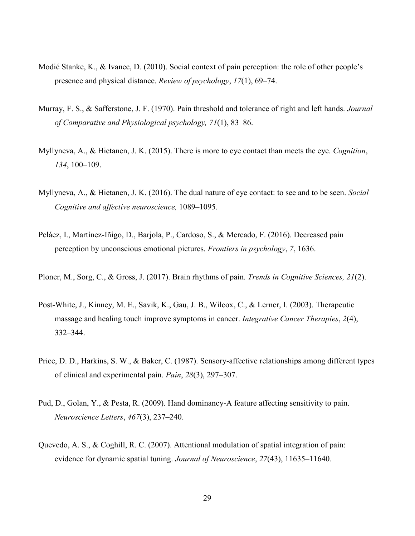- Modić Stanke, K., & Ivanec, D. (2010). Social context of pain perception: the role of other people's presence and physical distance. *Review of psychology*, *17*(1), 69–74.
- Murray, F. S., & Safferstone, J. F. (1970). Pain threshold and tolerance of right and left hands. *Journal of Comparative and Physiological psychology, 71*(1), 83–86.
- Myllyneva, A., & Hietanen, J. K. (2015). There is more to eye contact than meets the eye. *Cognition*, *134*, 100–109.
- Myllyneva, A., & Hietanen, J. K. (2016). The dual nature of eye contact: to see and to be seen. *Social Cognitive and affective neuroscience,* 1089–1095.
- Peláez, I., Martínez-Iñigo, D., Barjola, P., Cardoso, S., & Mercado, F. (2016). Decreased pain perception by unconscious emotional pictures. *Frontiers in psychology*, *7*, 1636.
- Ploner, M., Sorg, C., & Gross, J. (2017). Brain rhythms of pain. *Trends in Cognitive Sciences, 21*(2).
- Post-White, J., Kinney, M. E., Savik, K., Gau, J. B., Wilcox, C., & Lerner, I. (2003). Therapeutic massage and healing touch improve symptoms in cancer. *Integrative Cancer Therapies*, *2*(4), 332–344.
- Price, D. D., Harkins, S. W., & Baker, C. (1987). Sensory-affective relationships among different types of clinical and experimental pain. *Pain*, *28*(3), 297–307.
- Pud, D., Golan, Y., & Pesta, R. (2009). Hand dominancy-A feature affecting sensitivity to pain. *Neuroscience Letters*, *467*(3), 237–240.
- Quevedo, A. S., & Coghill, R. C. (2007). Attentional modulation of spatial integration of pain: evidence for dynamic spatial tuning. *Journal of Neuroscience*, *27*(43), 11635–11640.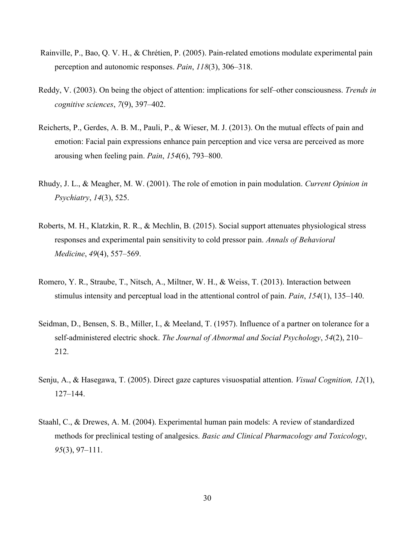- Rainville, P., Bao, Q. V. H., & Chrétien, P. (2005). Pain-related emotions modulate experimental pain perception and autonomic responses. *Pain*, *118*(3), 306–318.
- Reddy, V. (2003). On being the object of attention: implications for self–other consciousness. *Trends in cognitive sciences*, *7*(9), 397–402.
- Reicherts, P., Gerdes, A. B. M., Pauli, P., & Wieser, M. J. (2013). On the mutual effects of pain and emotion: Facial pain expressions enhance pain perception and vice versa are perceived as more arousing when feeling pain. *Pain*, *154*(6), 793–800.
- Rhudy, J. L., & Meagher, M. W. (2001). The role of emotion in pain modulation. *Current Opinion in Psychiatry*, *14*(3), 525.
- Roberts, M. H., Klatzkin, R. R., & Mechlin, B. (2015). Social support attenuates physiological stress responses and experimental pain sensitivity to cold pressor pain. *Annals of Behavioral Medicine*, *49*(4), 557–569.
- Romero, Y. R., Straube, T., Nitsch, A., Miltner, W. H., & Weiss, T. (2013). Interaction between stimulus intensity and perceptual load in the attentional control of pain. *Pain*, *154*(1), 135–140.
- Seidman, D., Bensen, S. B., Miller, I., & Meeland, T. (1957). Influence of a partner on tolerance for a self-administered electric shock. *The Journal of Abnormal and Social Psychology*, *54*(2), 210– 212.
- Senju, A., & Hasegawa, T. (2005). Direct gaze captures visuospatial attention. *Visual Cognition, 12*(1), 127–144.
- Staahl, C., & Drewes, A. M. (2004). Experimental human pain models: A review of standardized methods for preclinical testing of analgesics. *Basic and Clinical Pharmacology and Toxicology*, *95*(3), 97–111.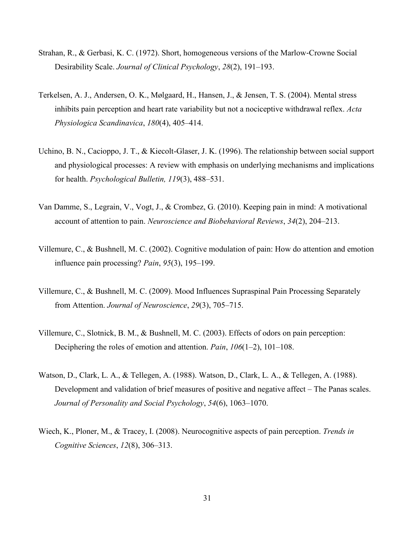- Strahan, R., & Gerbasi, K. C. (1972). Short, homogeneous versions of the Marlow‐Crowne Social Desirability Scale. *Journal of Clinical Psychology*, *28*(2), 191–193.
- Terkelsen, A. J., Andersen, O. K., Mølgaard, H., Hansen, J., & Jensen, T. S. (2004). Mental stress inhibits pain perception and heart rate variability but not a nociceptive withdrawal reflex. *Acta Physiologica Scandinavica*, *180*(4), 405–414.
- Uchino, B. N., Cacioppo, J. T., & Kiecolt-Glaser, J. K. (1996). The relationship between social support and physiological processes: A review with emphasis on underlying mechanisms and implications for health. *Psychological Bulletin, 119*(3), 488–531.
- Van Damme, S., Legrain, V., Vogt, J., & Crombez, G. (2010). Keeping pain in mind: A motivational account of attention to pain. *Neuroscience and Biobehavioral Reviews*, *34*(2), 204–213.
- Villemure, C., & Bushnell, M. C. (2002). Cognitive modulation of pain: How do attention and emotion influence pain processing? *Pain*, *95*(3), 195–199.
- Villemure, C., & Bushnell, M. C. (2009). Mood Influences Supraspinal Pain Processing Separately from Attention. *Journal of Neuroscience*, *29*(3), 705–715.
- Villemure, C., Slotnick, B. M., & Bushnell, M. C. (2003). Effects of odors on pain perception: Deciphering the roles of emotion and attention. *Pain*, *106*(1–2), 101–108.
- Watson, D., Clark, L. A., & Tellegen, A. (1988). Watson, D., Clark, L. A., & Tellegen, A. (1988). Development and validation of brief measures of positive and negative affect – The Panas scales. *Journal of Personality and Social Psychology*, *54*(6), 1063–1070.
- Wiech, K., Ploner, M., & Tracey, I. (2008). Neurocognitive aspects of pain perception. *Trends in Cognitive Sciences*, *12*(8), 306–313.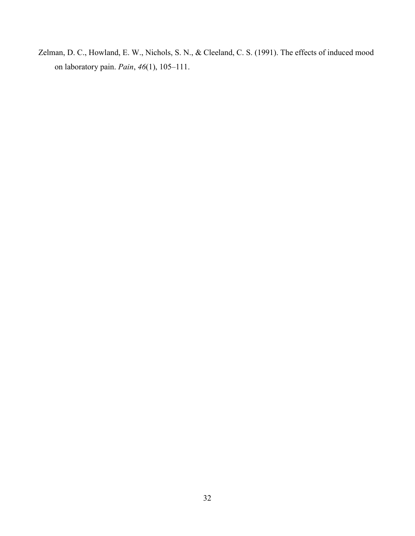Zelman, D. C., Howland, E. W., Nichols, S. N., & Cleeland, C. S. (1991). The effects of induced mood on laboratory pain. *Pain*, *46*(1), 105–111.